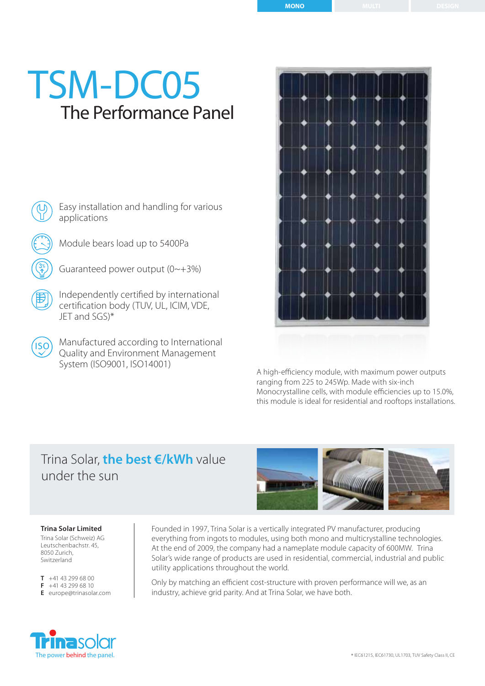# The Performance Panel TSM-DC05

Easy installation and handling for various applications

Module bears load up to 5400Pa

Guaranteed power output (0~+3%)

 $|ISO\rangle$ 

Independently certified by international certification body (TUV, UL, ICIM, VDE, JET and SGS)\*

Manufactured according to International Quality and Environment Management System (ISO9001, ISO14001)



A high-efficiency module, with maximum power outputs ranging from 225 to 245Wp. Made with six-inch Monocrystalline cells, with module efficiencies up to 15.0%, this module is ideal for residential and rooftops installations.

## Trina Solar, **the best €/kWh** value under the sun



### **Trina Solar Limited**

Trina Solar (Schweiz) AG Leutschenbachstr. 45, 8050 Zurich, Switzerland

**T** +41 43 299 68 00 **F** +41 43 299 68 10 **E** europe@trinasolar.com



Only by matching an efficient cost-structure with proven performance will we, as an industry, achieve grid parity. And at Trina Solar, we have both.